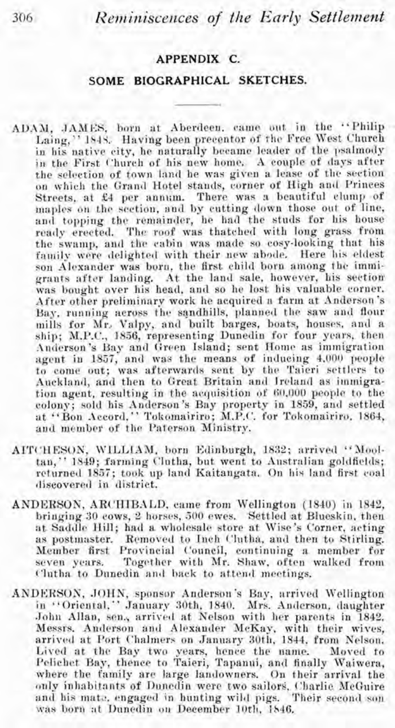*Reminiscences of the Early Settlement* 

## **APPENDIX C.**

## **SOME BIOGRAPHICAL SKETCHES.**

- **ADAM,** JAMES, born at Aberdeen, canre out in the "Philip Laing," 1845.. Having been precentor of thc Free West Church in his native city, he naturally became leader of the psalmody in the First Church of his new home. A couple of days after on which the Grand Hotel stands, corner of High and Princes Streets, at £4 per annum. There was a beautiful clump of lnaples on the section, and by cutting down those out of line, and topping the remainder, he had the studs for his house ready erected. The roof was thatched with long grass from the swamp, and the cabin was made so cosy-looking that his family were delighted with their new abode. Here his eldest son Alexander was born, the first child born among the immigrants after landing. At the land sale, however, his section was bought over his head, and so he lost his valuable corner. After other preliminary work he acquired a farm at Anderson's Bay, running across the sandhills, planned the saw and flour mills for Mr. Valpy, and built barges, boats, houses, and a ship; M.P.C., 1856, representing Dunedin for four years, then Anderson's Bay and Green Island; sent Home as immigration agent in 1857, and was the means of inducing 4.000 people to come out; was afterwards sent by the Taieri settlers to Auckland, and then to Great Britain and lreland as immigration agent, resulting in the acquisition of 60,000 people to the colony; sold his Anderson's Bay property in 1859, and settled at "Bon Accord," Tokomairiro; M.P.C. for Tokomairiro. 1864, and member of the Paterson Ministry.
- AITCHESON, WILLIAM, born Edinburgh, 1832; arrived "Mooltan," 1849; farming Clutha, but went to Australian goldfields; rcturned 1857; took up land Kaitangata. On his land first coal discovered in district.
- ANDERSOK, ARCHIBALD, came from Wellington (1840) in 1842, bringing 30 cows, 2 horses, 500 ewes. Settled at Blueskin, then<br>at Saddle Hill; had a wholesale store at Wise's Corner, acting as postmaster. Removed to Inch Clutha, and then to Stirling. Member first Provincial Council, continuing a member for seven years. Together with Mr. Shaw, often walked from Clutha to Dunedin and back to attend meetings.
- ANDKRSON, .JOHN, sponsor Anderson's Bay, arrived Wellington in ''Oriental,'' January 30th, 1840. Mrs. Anderson, daughter<br>John Allan, sen., arrived at Nelson with her parents in 1842. Messrs. Anderson and Alexander MeKay, with their wives, arrived at Port Chalmers on January 30th, 1844, from Nelson. Lived at the Bay two years, hence the name. Moved to Peliehet Bay, thence to Taieri, Tapanui, and finally Waiwera, where the family are large lanilowners. On their arrival the only inhabitants of Dunedin were two sailors, Charlie McGuire and his mate, engaged in hunting wild pigs. Their second son<br>was born at Dunedin on December 10th, 1846.

306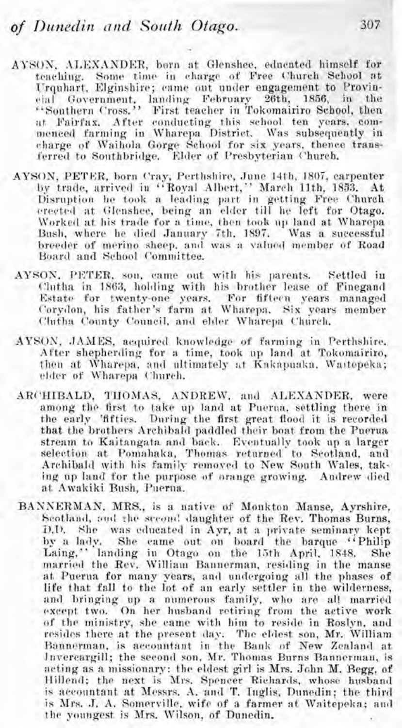- AYSON, ALEXANDER, born at Glenshee, educated himself for teaching. Some time in charge of Free Church School at Urquhart, Elginshire; came out under engagement to Provin-<br>cial Government, landing February 26th, 1856, in the cial Government, landing February 26th, 1856, "Southern Cross." First teacher in Tokomairiro School, then<br>at Fairfax. After conducting this school ten years, commenced farming in Wharepa District. Was subsequently in charge of Waihola Gorge School for six years, thence transferred to Sonthbridge. Elder of Presbyterian Church.
- AYSON, PETER, born Cray, Perthshire, June 14th, 1807, carpenter by trade, arrived in "Royal Albert,'' March llth, 1833. At Disruption he took n leading part in getting Free ('hurch erected at Glenshee, being an elder till he left for Otago. \.170rlted at his trade for a time, then took 111' lancl at Wharepa Bush, where he died January 7th. 1897. Was a successful breeder of merino sheep, and was a valued member of Road Board and School Committee.
- AYSON. PETER, son, came out with his parents. Settled in ('lotha in **1863,** hol~ling with his brother lease of Finegand Estate for twenty-one years. For fifteen years managed Corydon, his father's farm at Wharepa. Six years member Clutha County Council, and elder Wharepa Church.
- AYSON, **JAMES**, acquired knowledge of farming in Perthshire. After shepherding for a time, took up land at Tokomairiro, then at Wharepa, and ultimately at Kakapuaka, Waitopeka; elder of Wharepa ('hurch.
- ARC'HIBALD, THOMAS, ANDREW, and ALEXANDER, were among the first to take up land at Puerna, settling there in the early 'fifties. During the first great flood it is recorded that the brothers Archibald paddled their boat from the Puerua stream to Kaitangata and back. Eventually took up a larger selection at Pomahaka, Thomas returned to Scotland, and Archibald with his family removed to New South Wales, taking up land for the purpose of orange growing. Andrew died at Awakiki Bush, Puerua.
- BANNERMAN, MRS., is a native of Monkton Manse, Ayrshire, Scotland, and the second daughter of the Rev. Thomas Burns, **iJ.1).** She was cclncated in Ayr, at a private seminarv kept by a lacly. She came ont on board the barque "Philip Laing," landing in Otago on the 15th April. 1848. She married the Rev. William Bannerman, residing in the manse at Puerua for many years, and undergoing all the phases of life that fall to the lot of an early settler in the wilderness, and bringing up a numerous family, who are all married except two. On her hnsband retiring from the active work **of** the ministry, she came with him to resido in Roslpn, and resides there at the present day. The eldest son, Mr. William Bannerman, is accountant in the Bank of New Zealand at Jnvereargill; the second son, Mr. Thomas Burns Bannerman. is acting as a missionary: the eldest girl is Mrs. John M. Begg, of Hillend; the next is Mrs. Spencer Richards, whose husband is accountant at Messrs. A. and T. Inglis, Dunedin; the third is Mrs. J. A. Somerville, wife of a farmer at Waitepeka; and the youngest is Mrs. Wilson, of Dunedin.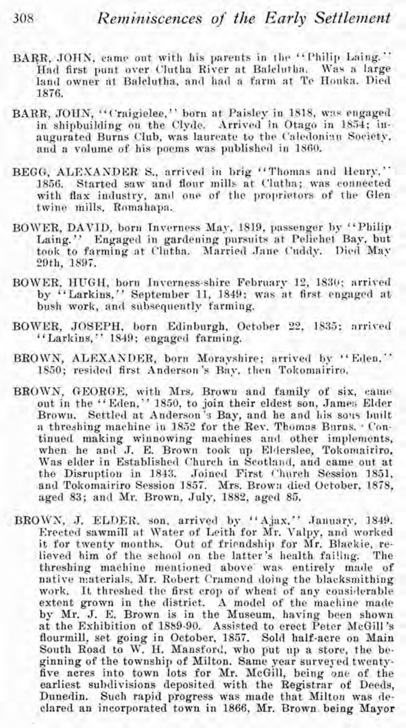- BARR, JOHN, came out with his parents in the "Philip Laing." Had first punt over Clutha River at Balclutha. Was a large land owner at Balclutha, and had a farm at Te Houka. Died 1876.
- BARR, JOHN, "Craigielee," born at Paisley in 1818, was engaged in shipbuilding on the Clyde. Arrived in Otago in 1854; inaugurated Burns Club, was laureate to the Caledonian Society. and a volume of his poems was published in 1860.
- BEGG, ALEXANDER S., arrived in brig "Thomas and Henry." 1856. Started saw and flour mills at Clutha; was connected with flax industry, and one of the proprietors of the Glen twine mills, Romahapa.
- BOWER, DAVID, born Inverness May, 1819, passenger by "Philip Laing." Engaged in gardening pursuits at Pelichet Bay, but took to farming at Clutha. Married Jane Cuddy. Died May 29th, 1897.
- BOWER, HUGH, born Inverness-shire February 12, 1830; arrived by "Larkins." September 11, 1849; was at first engaged at bush work, and subsequently farming.
- BOWER, JOSEPH, born Edinburgh, October 22, 1835; arrived "Larkins," 1849; engaged farming.
- BROWN, ALEXANDER, born Morayshire; arrived by "Eden." 1850; resided first Anderson's Bay, then Tokomairiro.
- BROWN, GEORGE, with Mrs. Brown and family of six, came out in the "Eden," 1850, to join their eldest son, James Elder Brown. Settled at Anderson's Bay, and he and his sons built a threshing machine in 1852 for the Rev. Thomas Burns. . Continued making winnowing machines and other implements, when he and J. E. Brown took up Elderslee, Tokomairiro. Was elder in Established Church in Scotland, and came out at the Disruption in 1843. Joined First Church Session 1851, and Tokomairiro Session 1857. Mrs. Brown died October, 1878, aged 83; and Mr. Brown, July, 1882, aged 85.
- BROWN, J. ELDER, son, arrived by "Ajax," January, 1849. Erected sawmill at Water of Leith for Mr. Valpy, and worked it for twenty months. Out of friendship for Mr. Blackie, relieved him of the school on the latter's health failing. The threshing machine mentioned above was entirely made of native materials, Mr. Robert Cramond doing the blacksmithing work. It threshed the first erop of wheat of any considerable extent grown in the district. A model of the machine made by Mr. J. E. Brown is in the Museum, having been shown at the Exhibition of 1889-90. Assisted to erect Peter McGill's flourmill, set going in October, 1857. Sold half-acre on Main South Road to W. H. Mansford, who put up a store, the beginning of the township of Milton. Same year surveyed twentyfive acres into town lots for Mr. McGill, being one of the earliest subdivisions deposited with the Registrar of Deeds, Dunedin. Such rapid progress was made that Milton was declared an incorporated town in 1866, Mr. Brown being Mayor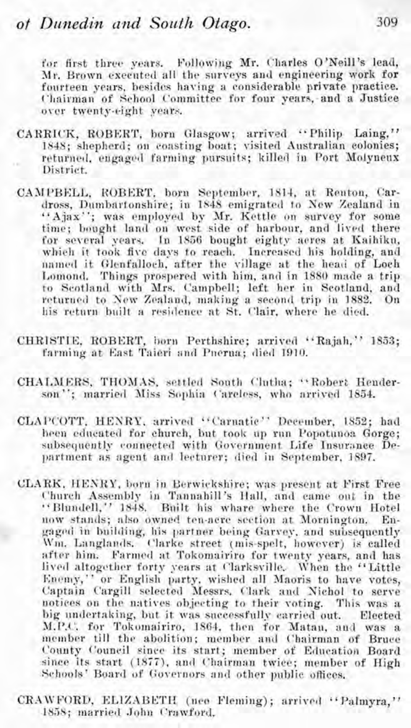Following Mr. Charles O'Neill's lead, for first three years. Mr. Brown executed all the surveys and engineering work for fourteen vears, besides having a considerable private practice. Chairman of School Committee for four years, and a Justice over twenty-eight years.

- CARRICK, ROBERT, born Glasgow; arrived "Philip Laing," 1848; shepherd; on coasting boat; visited Australian colonies; returned, engaged farming pursuits; killed in Port Molvneux District.
- CAMPBELL, ROBERT, born September, 1814, at Renton, Cardross, Dumbartonshire; in 1848 emigrated to New Zealand in "Ajax"; was employed by Mr. Kettle on survey for some time; bought land on west side of harbour, and lived there for several vears. In 1856 bought eighty aeres at Kaihiku, which it took five days to reach. Increased his holding, and named it Glenfalloch, after the village at the head of Loch Lomond. Things prospered with him, and in 1880 made a trip to Scotland with Mrs. Campbell; left her in Scotland, and returned to New Zealand, making a second trip in 1882. On his return built a residence at St. Clair, where he died.
- CHRISTIE, ROBERT, born Perthshire; arrived "Rajah," 1853; farming at East Taieri and Pnerua; died 1910.
- CHALMERS, THOMAS, settled South Clutha; "Robert Henderson"; married Miss Sophia Careless, who arrived 1854.
- CLAPCOTT, HENRY, arrived "Carnatic" December, 1852; had heen educated for church, but took up run Popotunoa Gorge; subsequently connected with Government Life Insurance Department as agent and lecturer; died in September, 1897.
- CLARK, HENRY, born in Berwickshire; was present at First Free Church Assembly in Tannahill's Hall, and came out in the "Blundell," 1848. Built his whare where the Crown Hotel now stands; also owned ten-acre section at Mornington. gaged in building, his partner being Garvey, and subsequently Wm. Langlands. Clarke street (mis-spelt, however) is called after him. Farmed at Tokomairiro for twenty years, and has lived altogether forty years at Clarksville. When the "Little Enemy," or English party, wished all Maoris to have votes, Captain Cargill selected Messrs, Clark and Nichol to serve notices on the natives objecting to their voting. This was a big undertaking, but it was successfully carried out. Elected M.P.C. for Tokomairiro, 1864, then for Matan, and was a member till the abolition; member and Chairman of Bruce County Council since its start; member of Education Board since its start (1877), and Chairman twice; member of High Schools' Board of Governors and other public offices.
- CRAWFORD, ELIZABETH (nee Fleming); arrived "Palmyra," 1858; married John Crawford.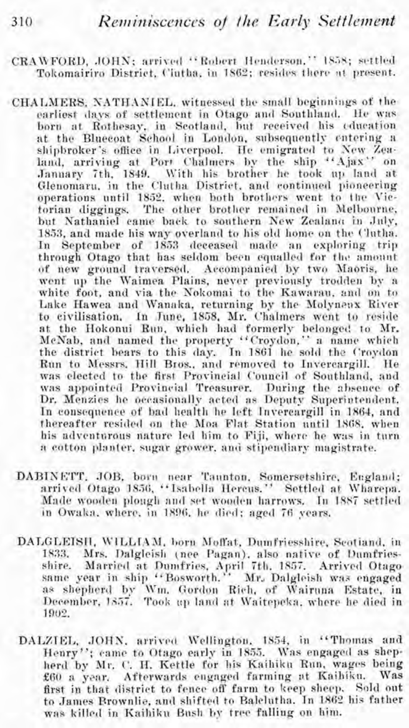- CRAWFORD, JOHN; arrived "Robert Henderson," 1858; settled Tokomairiro District, Ciutha, in 1862; resides there at present.
- CHALMERS, NATHANIEL, witnessed the small beginnings of the earliest days of settlement in Otago and Southland. He was born at Rothesay, in Scotland, but received his education at the Bluecoat School in London, subsequently entering a shipbroker's office in Liverpool. He emigrated to New Zealand, arriving at Port Chalmers by the ship "Ajax" on January 7th, 1849. With his brother he took up land at Glenomaru, in the Clutha District, and continued pioneering operations until 1852, when both brothers went to the Vietorian diggings. The other brother remained in Melbourne, but Nathaniel came back to southern New Zealana in July. 1853, and made his way overland to his old home on the Clutha. In September of 1853 deceased made an exploring trip through Otago that has seldom been equalled for the amount of new ground traversed. Accompanied by two Maoris, he went up the Waimea Plains, never previously trodden by a white foot, and via the Nokomai to the Kawarau, and on to Lake Hawea and Wanaka, returning by the Molyneux River to civilisation. In June, 1858, Mr. Chalmers went to reside at the Hokonui Run, which had formerly belonged to Mr. McNab, and named the property "Croydon," a name which the district bears to this day. In 1861 he sold the Croydon Run to Messrs, Hill Bros., and removed to Invercargill. He was elected to the first Provincial Council of Southland, and was appointed Provincial Treasurer. During the absence of Dr. Menzies he occasionally acted as Deputy Superintendent. In consequence of bad health he left Invercargill in 1864, and<br>thereafter resided on the Moa Flat Station until 1868, when his adventurous nature led him to Fiji, where he was in turn a cotton planter, sugar grower, and stipendiary magistrate.
	- DABINETT, JOB, born near Taunton, Somersetshire, England; arrived Otago 1856, "Isabella Hercus." Settled at Wharepa. Made wooden plough and set wooden harrows. In 1887 settled in Owaka, where, in 1896, he died; aged 76 years.
	- DALGLEISH, WILLIAM, born Moffat, Dumfriesshire, Scotiand, in 1833. Mrs. Dalgleish (nee Pagan), also native of Dumfriesshire. Married at Dumfries, April 7th, 1857. Arrived Otagosame year in ship "Bosworth." Mr. Dalgleish was engaged<br>as shepherd by Wm. Gordon Rich, of Wairuna Estate, in<br>December, 1857. Took up land at Waitepeka, where he died in 1902.
	- DALZIEL, JOHN, arrived Wellington, 1854, in "Thomas and Henry"; came to Otago early in 1855. Was engaged as shepherd by Mr. C. H. Kettle for his Kaihiku Run, wages being £60 a year. Afterwards engaged farming at Kaibiku. Was first in that district to fence off farm to keep sheep. Sold out to James Brownlie, and shifted to Balclutha. In 1862 his father was killed in Kaihiku Bash by tree falling on him.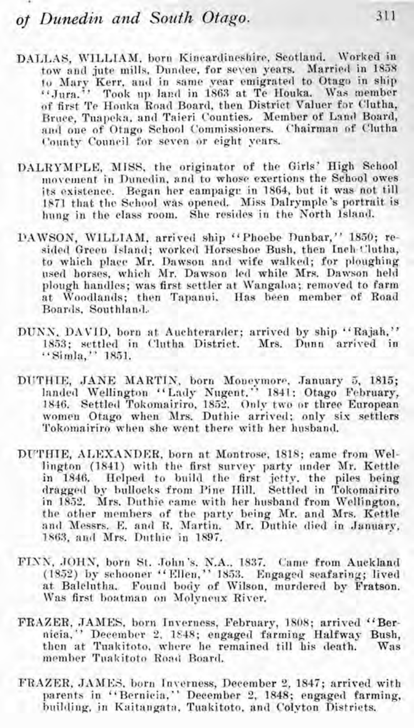## **01** Dunedin and *Soutlz Otago.*

- DALLAS, WILLIAM. born Kincardineshire, Scotland. Worked in tow and jute mills, Dundee, for seven years. Married in 1858 to Mary Kerr, and in same year emigrated to Otago in ship "."<br>"Jura." "Took up land in 1863 at Te Houka. "Was member of first Te Houka Road Board, then District Valuer for Clutha, Bruce, Tuapeka, and Taieri Counties. Member of Land Board, and one of Otago School Commissioners. ('hairman of Clutha C'ounty Council for seven or eight years.
- DALRYMPLE, MISS, the originator of the Girls' High School its existence. Began her campaigr in 1864, but it was not till 1871 that the School was opened. Miss Dalrymple's portrait is hung in the class room. She resides in the North Island.
- L'AWSON, WlLLTAM, arrived ship "Phoebe Dunbar," 18.50; resided Green Island; worked Horseshoe Bush, then Inch-Clutha, to which place Mr. Dawson and wife walked; for ploughing used horses, which Mr. Dawson led while Mrs. Dawson held plough handles; was first settler at Wangaloa; removed to farm at Woodlands; then Tapanui. Has been member of Road Boards, Southland...
- DUNN, DAVID, born at Auchterarder; arrived by ship "Rajah," 18.53; settled in Clutha District. Mrs. Dunn arrived in "Simla," 18.51.
- DUTHIE, JANE MARTIN, born Moneymore, January 5, 1815; landed Wellington "Lndy Nngent." 1841; Otago February, women Otago when Mrs. Duthie arrived; only six settlers Tokomairiro when she went there with her husband.
- DIrTHIE, AIIEXAXDER, born at Montrose, 1818; came from Wellington (1841) with the first survey party under Mr. Kettle in 1846. Helped to build the first jetty, the piles being dragged by bullocks from Pine Hill. Settled in Tokomairiro in 1852. Mrs. Duthie came with her husband from Wellington, the other members of the party being Mr. and Mrs. Kettle and Messrs. E. and R. Martin. Mr. Dnthie died in January, 1S63, and Mrs. Duthle in 1897.
- **FISS, JOHS,** born St. John's, N.A.. 1837. Came from Anckland (1852) by schooner "Ellen," 1853. Engaged seafaring; lived at Balclutha. Found body of Wilson, murdered by Fratson.<br>Was first boatman on Molyneux River.
- FRAZER, JAMES, born Inverness, February, 1808; arrived "Bernicia." December **2,** 1E48; engaged farming Halfway Bush, then at Tuakitoto, where he remained till his death. Was member Tuakitoto Road Board.
- FRAZER, JAMES, born Inverness, December 2, 1847; arrived with parents in "Bernicia," December 2, 1848; engaged farming, building, in Kaitangata, Tuakitoto, and Colyton Districts.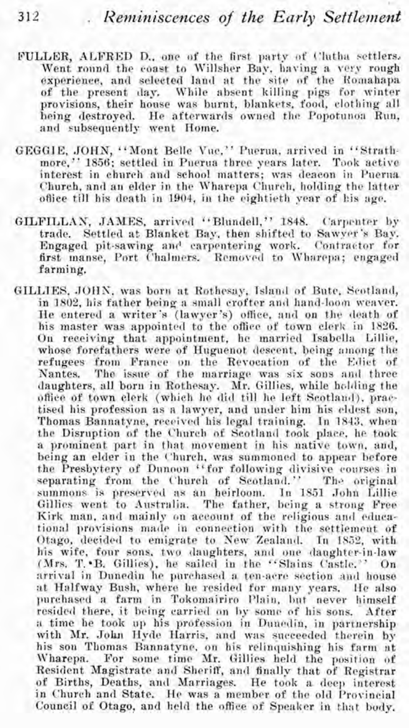- **FULLER,** ALFRED D., one of the first party of Clatha settlers, Went round the coast to Willsher Bay, having a very rough experience, and selected land at the site of the Romahapa of the present day. While absent killing pigs for winter provisions, their house was burnt, blankets, food, clothing all being destroyed. He afterwards owned the Popotunoa Run, and subsequently went Home.
- GEGGIE, JOHN, "Mont Belle Vuc," Puerua, arrived in "Strathmore," 1856; settled in Puerua three years later. Took active interest in church and school matters; **was** deacon in Pnerna Church, and an elder in the Wharepa Church, holding the latter ofliee till his death in 1904. in the eightieth year of his age.
- GILFILLAN, JAMES, arrived "Blundell," 1848. Carpenter by trade. Settled at Blanket Bay, then shifted to Sawver's Bay. Engaged pit-sawing and carpentering work. Contractor for first manse, Port Chalmers. Removed to Wharepa; engaged farming.
- GILLIES, JOHN, was born at Rothesay, Island of Bute, Scotland, in 1802, his father being a small crofter and hand-loom weaver. He entered a writer's (lawyer's) office, and on the death of his master was appointed to the office of town clerk in 1826. On receiving that appointment, he married Isabella Lillie, whose forefathers were of Huguenot descent, being among the refugees from France on the Revocation of the Edict of Nantes. The issue of the marriage was six sons and three daughters, all born in Rothesay. Mr. Gillies, while holding the office of town clerk (which he did till he left Scotland), practised his profession as a lawyer, and under him his eldest son, Thomas Bannatyne, received his legal training. In 1843, when the Disruption of the Church of Scotland took place, he took a prominent part in that movement in his native town, and, being an elder in the Church, was summoned to appear before the Presbytery of Dunoon "for following divisive courses in separating from the Church of Scotland." The original summons is preserved as an heirloom. In 1851 John Lillie Gillies went to Australia. The father, being a strong Free Kirk man, and mainly on account of the religious and educational provisions made in connection with the settlement of Otago. decided to emigrate to New Zealand. In 1S52. with his wife, four sons, two daughters, and one daughter-in-law (Mrs. T. B. Gillies), he sailed in the "Slains Castle." On arrival in Dunedin he purchased a ten-acre section and house at Halfway Bush, where he resided for many years. He also purchased a farm in Tokomairiro Plain, but never himself<br>resided there, it being carried on by some of his sons. After a time be took up his profession in Dunedin, in partnership with Mr. John Hyde Harris, and was succeeded therein by his son Thomas Bannatyne. on his relinquishing his farm at Wharepa. For some time Mr. Gillies held the position of Resident Magistrate and Sheriff, and finally that of Registrar of Births, Deaths, and Marriages. He took a deep interest in Church and State. He was a member of the old Provincial Council of Otago, and held the office of Speaker in that body.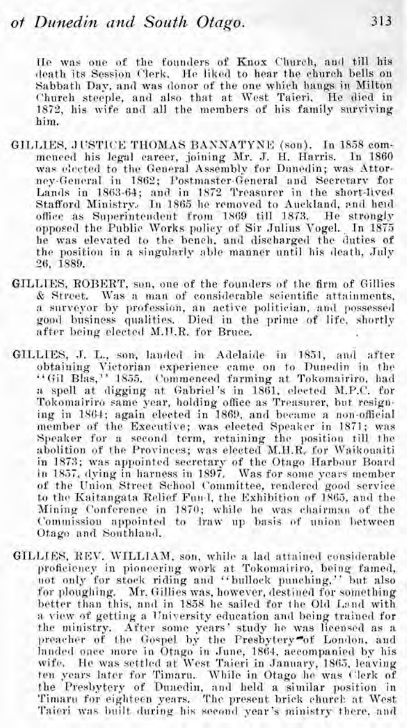He was one of the founders of Knox Church, and till his death its Session Clerk. He liked to hear the church bells on Sabbath Day, and was donor of the one which hangs in Milton Church steeple, and also that at West Taieri. He died in 1872, his wife and all the members of his family surviving him.

- GILLIES, JUSTICE THOMAS BANNATYNE (son). In 1858 commenced his legal career, joining Mr. J. H. Harris, 1n 1860 was elected to the General Assembly for Dunedin; was Attorney-General in 1862; Postmaster-General and Secretary for Lands in 1863-64; and in 1872 Treasurer in the short-lived Stafford Ministry. In 1865 he removed to Auckland, and heid office as Superintendent from 1869 till 1873. He strongly opposed the Public Works policy of Sir Julius Vogel. In 1875 he was elevated to the bench, and discharged the duties of the position in a singularly able manner until his death, July 26, 1889.
- GILLIES, ROBERT, son, one of the founders of the firm of Gillies Was a man of considerable scientific attainments. & Street. a surveyor by profession, an active politician, and possessed good business qualities. Died in the prime of life, shortly after being elected M.H.R. for Bruce.
- GILLIES, J. L., son, landed in Adelaide in 1851, and after obtaining Victorian experience came on to Dunedin in the "Gil Blas," 1855. Commenced farming at Tokomairiro, had a spell at digging at Gabriel's in 1861, elected M.P.C. for Tokomairiro same year, holding office as Treasurer, but resigning in 1864; again elected in 1869, and became a non-official member of the Executive; was elected Speaker in 1871; was Speaker for a second term, retaining the position till the abolition of the Provinces; was elected M.H.R. for Waikonaiti in 1873; was appointed secretary of the Otago Harbour Board in 1857, dying in harness in 1897. Was for some years member of the Union Street School Committee, rendered good service to the Kaitangata Relief Fund, the Exhibition of 1865, and the Mining Conference in 1870; while he was chairman of the Commission appointed to fraw up basis of union between Otago and Southland.
- GILLIES, REV. WILLIAM, son, while a lad attained considerable proficiency in pioneering work at Tokomairiro, being famed, not only for stock riding and "bullock punching." but also for ploughing. Mr. Gillies was, however, destined for something better than this, and in 1858 he sailed for the Old Land with a view of getting a University education and being trained for the ministry. After some years' study he was licensed as a preacher of the Gospel by the Presbytery of London, and<br>handed once more in Otago in June, 1864, accompanied by his wife. He was settled at West Taieri in January, 1865, leaving ten years later for Timaru. While in Otago he was Clerk of the Presbytery of Dunedin, and held a similar position in Timaru for eighteen years. The present brick church at West Taieri was built during his second year's ministry there, and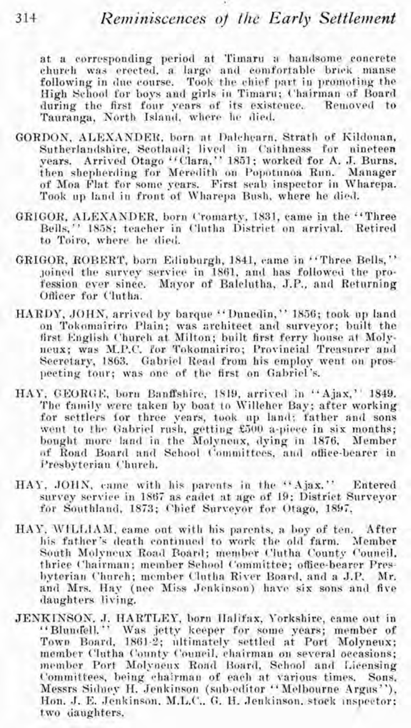at a corresponding period at Timaru a handsome concrete church was crected, a large and comfortable brick manse following in due course. Took the chief part in promoting the High School for boys and girls in Timaru; Chairman of Board during the first four years of its existence. Removed to Tauranga, North Island, where he died.

- GORDON, ALEXANDER, born at Dalchearn, Strath of Kildonan, Sutherlandshire, Scotland; lived in Caithness for nineteen years. Arrived Otago<sup>14</sup>Clara," 1851; worked for A. J. Burns. then shepherding for Meredith on Popotunoa Run. Manager of Moa Flat for some years. First seab inspector in Wharepa. Took up land in front of Wharepa Bush, where he died.
- GRIGOR, ALEXANDER, born Cromarty, 1831, came in the "Three Bells." 1858; teacher in Clutha District on arrival. Retired to Toiro, where he died.
- GRIGOR, ROBERT, born Edinburgh, 1841, came in "Three Bells," joined the survey service in 1861, and has followed the profession ever since. Mayor of Balclutha, J.P., and Returning Officer for Clutha.
- HARDY, JOHN, arrived by barque "Dunedin," 1856; took up land on Tokomairiro Plain; was architect and surveyor; built the<br>first English Church at Milton; built first ferry house at Molyneux; was M.P.C. for Tokomairiro; Provincial Treasurer and Secretary, 1863. Gabriel Read from his employ went on prospecting tour: was one of the first on Gabriel's.
- HAY, GEORGE, born Banffshire, 1819, arrived in "Ajax," 1849. The family were taken by boat to Willeher Bay; after working for settlers for three years, took up land; father and sons went to the Gabriel rush, getting £500 a-piece in six months; bought more land in the Molyneux, dying in 1876, Member of Road Board and School Committees, and office-bearer in Presbyterian Church.
- HAY, JOHN, came with his parents in the "Ajax." Entered survey service in 1867 as cadet at age of 19; District Surveyor for Southland, 1873; Chief Surveyor for Otago, 1897.
- HAY, WILLIAM, came out with his parents, a boy of ten. After his father's death continued to work the old farm. Member South Molyneux Road Board; member Clutha County Council. thrice Chairman; member School Committee; office-bearer Presbyterian Church; member Clutha River Board, and a J.P. Mr. and Mrs. Hay (nee Miss Jenkinson) have six sons and five daughters living.
- JENKINSON, J. HARTLEY, born Halifax, Yorkshire, came out in "Blundell." Was jetty keeper for some years; member of Town Board, 1861-2; ultimately settled at Port Molyneux; member Clutha County Council, chairman on several occasions; member Port Molyneux Road Board, School and Licensing Committees, being chairman of each at various times. Sons, Messrs Sidney H. Jenkinson (sub-editor "Melbourne Argus"). Hon. J. E. Jenkinson, M.L.C., G. H. Jenkinson, stock inspector; two daughters.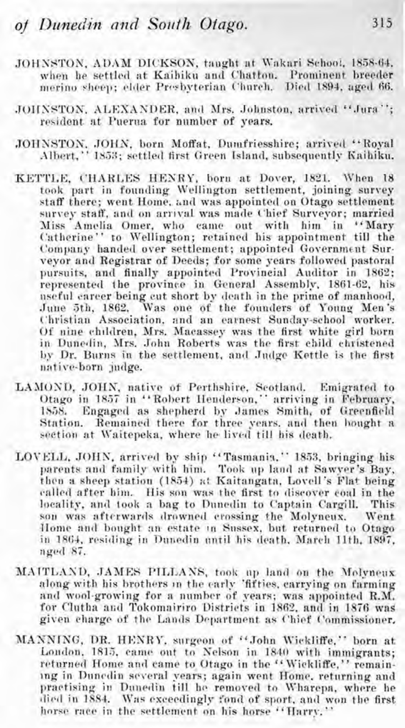- JOHNSTON, ADAM DICKSON, taught at Wakari School, 1858-64. when he settled at Kaibiku and Chatton. Prominent breeder merino sheep; elder Presbyterian Church. Died 1894, aged 66.
- JOHNSTON, ALEXANDER, and Mrs. Johnston, arrived "Jura"; resident at Puerua for number of years.
- JOHNSTON, JOHN, born Moffat, Dumfriesshire; arrived "Royal Albert," 1853; settled first Green Island, subsequently Kaihiku.
- KETTLE, CHARLES HENRY, born at Dover, 1821. When 18 took part in founding Wellington settlement, joining survey staff there: went Home, and was appointed on Otago settlement survey staff, and on arrival was made Chief Surveyor; married Miss Amelia Omer, who came out with him in "Mary Catherine" to Wellington; retained his appointment till the Company handed over settlement; appointed Government Survevor and Registrar of Deeds; for some years followed pastoral pursuits, and finally appointed Provincial Auditor in 1862: represented the province in General Assembly, 1861-62, his nseful career being cut short by death in the prime of manhood, June 5th, 1862. Was one of the founders of Young Men's Christian Association, and an earnest Sunday-school worker. Of nine children, Mrs. Macassey was the first white girl born in Dunedin, Mrs. John Roberts was the first child christened by Dr. Burns in the settlement, and Judge Kettle is the first native-born judge.
- LAMOND, JOHN, native of Perthshire, Scotland. Emigrated to Otago in 1857 in "Robert Henderson," arriving in February, 1858. Engaged as shepherd by James Smith, of Greenfield Station. Remained there for three years, and then hought a section at Waitepeka, where he lived till his death.
- LOVELL, JOHN, arrived by ship "Tasmania," 1853, bringing his parents and family with him. Took up land at Sawver's Bay, then a sheep station (1854) at Kaitangata, Lovell's Flat being called after him. His son was the first to discover coal in the locality, and took a bag to Dunedin to Captain Cargill. This son was afterwards drowned crossing the Molyneux. Went Home and bought an estate in Sussex, but returned to Otago in 1864, residing in Dunedin until his death, March 11th, 1897, nged 87.
- MAITLAND, JAMES PHLLANS, took up land on the Molvneux along with his brothers in the early 'fifties, carrying on farming and wool-growing for a number of years; was appointed R.M. for Clutha and Tokomairiro Districts in 1862, and in 1876 was given charge of the Lands Department as Chief Commissioner.
- MANNING, DR. HENRY, surgeon of "John Wickliffe." born at London, 1815, came out to Nelson in 1840 with immigrants; returned Home and came to Otago in the "Wickliffe," remaining in Duncdin several vears; again went Home, returning and practising in Dunedin till he removed to Wharepa, where he died in 1884. Was exceedingly fond of sport, and won the first horse race in the settlement on his horse "Harry,"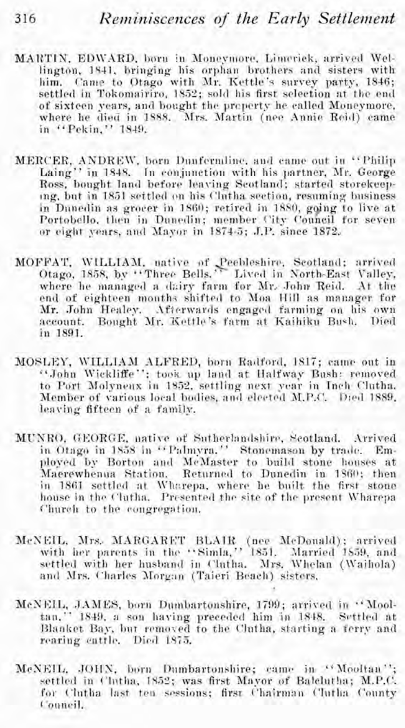- MARTIN, EDWARD, born in Moneymore, Limerick, arrived Wellington, 1841, bringing his orphan brothers and sisters with him. Came to Otago with Mr. Kettle's survey party, 1846; settled in Tokomairiro, 1852; sold his first selection at the end of sixteen vears, and bought the preperty he called Moneymore. where he died in 1888. Mrs. Martin (nee Annie Reid) came in "Pekin." 1849.
- MERCER, ANDREW, born Dunfermline, and came out in "Philip Laing" in 1848. In conjunction with his partner, Mr. George Ross, bought land before leaving Scotland; started storekeeping, but in 1851 settled on his Clutha section, resuming business in Dunedin as grocer in 1860; retired in 1880, going to live at Portobello, then in Dunedin; member City Council for seven or eight vears, and Mayor in 1874-5; J.P. since 1872,
- MOFFAT, WILLIAM, uative of Peebleshire, Seotland; arrived Otago, 1858, by "Three Bells." Lived in North-East Valley, where he managed a dairy farm for Mr. John Reid. At the end of eighteen months shifted to Moa Hill as manager for Mr. John Healey. Afterwards engaged farming on his own account. Bought Mr. Kettle's farm at Kaihiku Bush. Died in 1891
- MOSLEY, WILLIAM ALFRED, born Radford, 1817; came out in "John Wickliffe": took up land at Halfway Bush: removed to Port Molyneux in 1852, settling next year in Inch Clutha. Member of various local bodies, and elected M.P.C. Died 1889. leaving fifteen of a family.
- MUNRO, GEORGE, native of Sutherlandshire, Scotland, Arrived in Otago in 1858 in "Palmyra." Stonemason by trade. Employed by Borton and McMaster to build stone houses at Maerewhenua Station. Returned to Dunedin in 1860; then in 1861 settled at Wharepa, where he built the first stone house in the Clutha. Presented the site of the present Wharena Church to the congregation.
- McNEIL, Mrs. MARGARET BLAIR (nee McDouald); arrived with her parents in the "Simla," 1851. Married 1859, and settled with her husband in Clutha. Mrs. Whelan (Waihola) and Mrs. Charles Morgan (Taieri Beach) sisters.
- McNEIL, JAMES, born Dumbartonshire, 1799; arrived in "Mooltan," 1849, a son having preceded him in 1848. Settled at Blanket Bay, but removed to the Clutha, starting a ferry and rearing cattle. Died 1875.
- McNEIL, JOHN, born Dumbartonshire; came in "Mooltan"; settled in Clutha, 1852; was first Mayor of Balclutha; M.P.C. for Clutha last ten sessions; first Chairman Clutha County Conneil.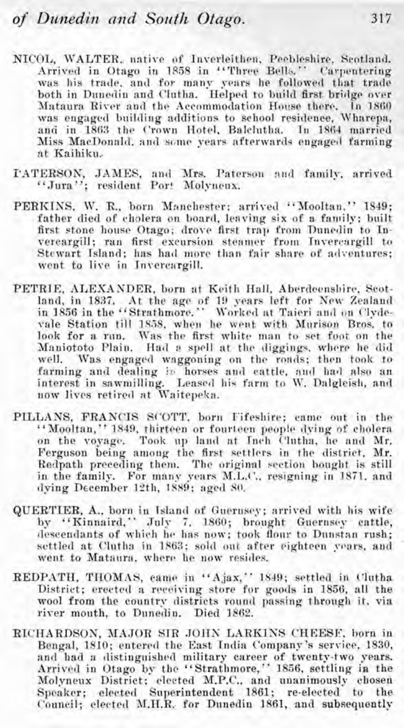- NICOL, WALTER, native of Inverleithen, Peebleshire, Scotland. Arrived in Otago in 1858 in "Three Bells." Carpentering was his trade, and for many years he followed that trade both in Dunedin and Clutha. Helped to build first bridge over Mataura River and the Accommodation House there. In 1860 was engaged building additions to school residence. Wharepa, and in 1863 the Crown Hotel, Balclutha. In 1864 married Miss MacDonald, and some years afterwards engaged farming at Kaihiku.
- PATERSON, JAMES, and Mrs. Paterson and family, arrived "Jura": resident Port Molvneux.
- PERKINS, W. R., born Manchester; arrived "Mooltan." 1849: father died of cholera on board, leaving six of a family; built first stone house Otago; drove first trap from Dunedin to Invercargill; ran first excursion steamer from Invercargill to Stewart Island; has had more than fair share of adventures; went to live in Invercargill.
- PETRIE, ALEXANDER, born at Keith Hall, Aberdeensbire, Seotland, in 1837. At the age of 19 years left for New Zealand<br>in 1856 in the "Strathmore." Worked at Taieri and on Clydevale Station till 1858, when he went with Murison Bros. to look for a run. Was the first white man to set foot on the Maniototo Plain. Had a spell at the diggings, where he did well. Was engaged waggoning on the roads; then took to farming and dealing in horses and cattle, and had also an interest in sawmilling. Leased his farm to W. Dalgleish, and never lives retired at Waitepeka.
- PILLANS, FRANCIS SCOTT, born Fifeshire; came out in the "Mooltan," 1849, thirteen or fourteen people dying of cholera on the voyage. Took up land at Inch Clutha, he and Mr. Ferguson being among the first settlers in the district. Mr. regional preceding them. The original section bought is still<br>in the family. For many years M.L.C., resigning in 1871, and dving December 12th, 1889; aged 80.
- QUERTIER, A., born in Island of Guernsey; arrived with his wife by "Kinnaird," July 7, 1860; brought Guernsey cattle, descendants of which he has now; took flour to Dunstan rush; settled at Clutha in 1863; sold out after eighteen vears, and went to Mataura, where he now resides.
- REDPATH, THOMAS, came in "Ajax," 1849; settled in Clutha District; erected a receiving store for goods in 1856, all the wool from the country districts round passing through it, via river mouth, to Dunedin. Died 1862.
- RICHARDSON, MAJOR SIR JOHN LARKINS CHEESE, born in Bengal, 1810; entered the East India Company's service, 1830, and had a distinguished military career of twenty-two years.<br>Arrived in Otago by the "Strathmore," 1856, settling in the Molyneux District; elected M.P.C., and unanimously chosen Speaker; elected Superintendent 1861; re-elected to the Council; elected M.H.R. for Dunedin 1861, and subsequently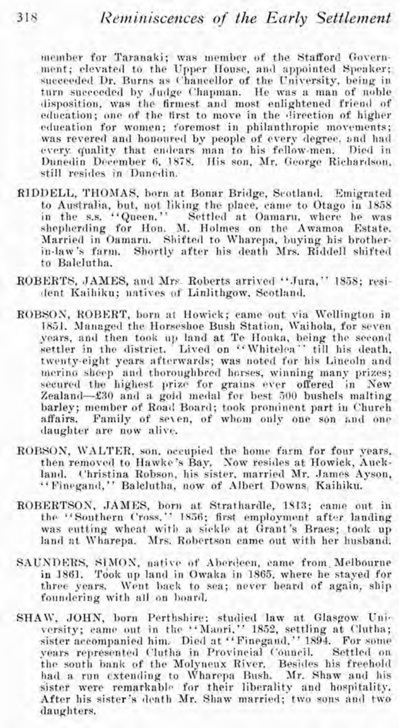member for Taranaki; was member of the Stafford Government; elevated to the Upper House, and appointed Speaker; succeeded Dr. Burns as Chancellor of the University, being in turn succeeded by Judge Chapman. He was a man of noble disposition, was the firmest and most enlightened friend of education: one of the first to move in the direction of higher education for women: foremost in philanthropic movements; was revered and honoured by people of every degree, and had every quality that endears man to his fellow-men. Died in Dunedin December 6, 1878. His son, Mr. George Richardson, still resides in Danedin.

- RIDDELL, THOMAS, born at Bonar Bridge, Scotland. Emigrated to Australia, but, not liking the place, came to Otago in 1858 in the s.s. "Queen." Settled at Oamaru, where he was shepherding for Hon. M. Holmes on the Awamoa Estate. Married in Oamaru. Shifted to Wharepa, buying his brotherin-law's farm. Shortly after his death Mrs. Riddell shifted to Balelutha.
- ROBERTS, JAMES, and Mrs. Roberts arrived "Jura," 1858; resident Kaihiku: natives of Linlithgow, Scotland.
- ROBSON, ROBERT, born at Howick; came out via Wellington in 1851. Managed the Horseshoe Bush Station, Waihola, for seven years, and then took up land at Te Houka, being the second settler in the district. Lived on "Whitelea" till his death. twenty-eight years afterwards; was noted for his Lincoln and mering sheep and thoroughbred horses, winning many prizes; secured the highest prize for grains ever offered in New Zealand-£30 and a gold medal for best 500 bushels malting barley; member of Road Board; took prominent part in Church Family of seven, of whom only one son and one affairs. daughter are now alive.
- ROBSON, WALTER, son, occupied the home farm for four years. then removed to Hawke's Bay. Now resides at Howick, Auckland. Christina Robson, his sister, married Mr. James Ayson, "Finegand," Balclutha, now of Albert Downs, Kaihiku.
- ROBERTSON, JAMES, born at Strathardle, 1813; came out in the "Southern Cross," 1856; first employment after landing was eutting wheat with a sickle at Grant's Braes; took up land at Wharepa. Mrs. Robertson came out with her husband.
- SAUNDERS, SIMON, native of Aberdeen, came from Melbourne in 1861. Took up land in Owaka in 1865, where he staved for three years. Went back to sea; never heard of again, ship foundering with all on board.
- SHAW, JOHN, born Perthshire; studied law at Glasgow University; came out in the "Manri," 1852, settling at Clutha; sister accompanied him. Died at "Finegaud," 1894. For some years represented Clutha in Provincial Council. Settled on the south bank of the Molyneux River. Besides his freehold had a run extending to Wharepa Bush. Mr. Shaw and his sister were remarkable for their liberality and hospitality. After his sister's death Mr. Shaw married; two sons and two daughters.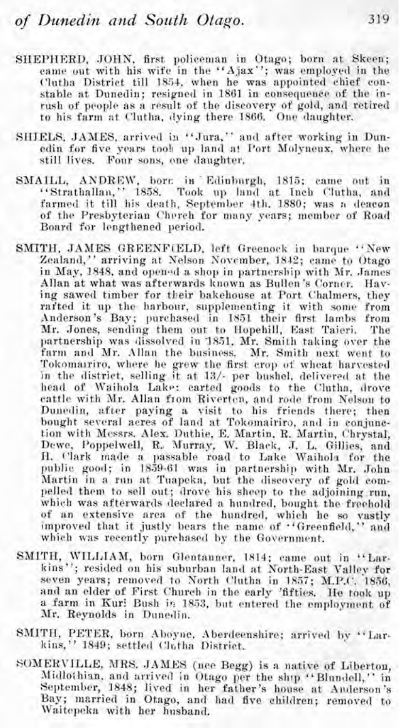- SHEPHERD, JOHN, first policeman in Otago; born at Skeen; came out with his wife in the "Ajax"; was employed in the Clutha District till 1854, when he was appointed chief constable at Dunedin; resigned in 1861 in consequence of the inrush of people as a result of the discovery of gold, and retired to his farm at Clutha, dving there 1866. One daughter,
- SHIELS, JAMES, arrived in "Jura," and after working in Dunedin for five years took up land at Port Molyneux, where he still lives. Four sons, one daughter,
- SMAILL, ANDREW, born in Edinburgh, 1815; came out in "Strathallan," 1858. Took up land at Inch Clutha, and farmed it till his death, September 4th, 1880; was a deacon of the Presbyterian Cherch for many years; member of Road Board for lengthened period.
- SMITH, JAMES GREENFIELD, left Greenock in barque "New Zealand," arriving at Nelson November, 1842; came to Otago in May, 1848, and opened a shop in partnership with Mr. James Allan at what was afterwards known as Bullen's Corner. Haying sawed timber for their bakehouse at Port Chalmers, they rafted it up the harbour, supplementing it with some from Anderson's Bay; purchased in 1851 their first lambs from Mr. Jones, sending them out to Hopehill, East Taieri. The partnership was dissolved in 1851. Mr. Smith taking over the farm and Mr. Allan the business. Mr. Smith next went to Tokomarriro, where he grew the first crop of wheat harvested in the district, selling it at 13/- per bushel, delivered at the head of Waihola Lake: carted goods to the Clutha, drove cattle with Mr. Allan from Riverton, and rode from Nelson to Dunedin, after paying a visit to his friends there; then<br>bought several acres of land at Tokomairiro, and in conjunction with Messrs. Alex. Duthie, E. Martin, R. Martin, Chrystal, Dewe, Poppelwell, R. Murray, W. Black, J. L. Gillies, and H. Clark made a passable road to Lake Waihola for the public good; in 1859-61 was in partnership with Mr. John Martin in a run at Tuapeka, but the diseovery of gold compelled them to sell out; drove his sheep to the adjoining run. which was afterwards declared a hundred, bought the freehold of an extensive area of the hundred, which he so vastly improved that it justly bears the name of "Greenfield," and which was recently purchased by the Government.
- SMITH, WILLIAM, born Glentanner, 1814; came out in "Larkins"; resided on his suburban land at North-East Valley for seven years; removed to North Clutha in 1857; M.P.C. 1856, and an elder of First Church in the early 'fifties. He took up a farm in Kuri Bush in 1853, but entered the employment of Mr. Reynolds in Duncdin.
- SMITH, PETER, born Aboyne, Aberdeenshire; arrived by "Larkins," 1849; settled Clutha District.
- SOMERVILLE, MRS. JAMES (nee Begg) is a native of Liberton, Midlothian, and arrived in Otago per the ship "Blundell," in September, 1848; lived in her father's house at Anderson's Bay; married in Otago, and had five children; removed to Waitepeka with her husband.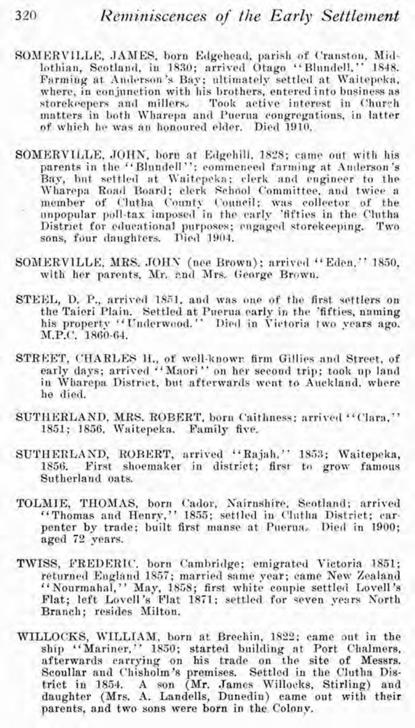- SOMERVILLE, JAMES, born Edgehead, parish of Cranston, Midlothiau, Scotland, in 1830; arrived Otago "Blnndell." 1848. Farming at Anderson's Bay; ultimately settled at Waitepeka, where, in conjunction with his brothers, entered into business as storekeepers and millers. Took active interest in Church matters in both \Vharepa and Puerua congregations, in latter of which he was an honoured elder. Died 1910.
- SOMERVILLE, JOHN, born at Edgehill, 1828; came out with his parents in the "Blundell"; commenced farming at Anderson's Bay, hnt settled at Kaitrpelta; clerk and engineer to the member of Clutha County Council; was collector of the unpopular poll-tax imposed in the early 'fifties in the Clntha District for educational purposes; engaged storekeeping. Two sons, four daughters. Died 1904.
- SOMERVILLE, MRS. JOHN (nee Brown); arrived "Eden." 1850, with her parents. Mr. and Mrs. George Brown.
- STEEL, D. P., arrived 1851. and was one of the first settlers on the Taieri Plain. Settled at Puerua early in the 'fifties, naming his property "Underwood." Died in Victoria two years ago. M.P.C. 1860-64.
- STREET, CHARLES H., of well-known firm Gillies and Street. of early days; arrived "Maori" on her second trip; took up land in Wharepa District, but afterwards went to Auckland, where he died.
- SUTIIERLAND, MRS. ROBERT, born Caithness; arrived "Clara," 1851; 1856, Waitepeka. Family five.
- SUTIIERLAND, RORERT, arrived "Rajah." 1833; Waitepeka, 1856. First shoemaker in district; first to grow famous Sutherland oats.
- TOLMIE, THOMAS, born Cador, Xairnshire. Scotland; arrived penter by trade; built first manse at Puerna. Died in 1900; aged **72** years.
- TIVISS, PREDERIC. born Cambridge; emigrated Victoria 1851; '' Nourmahal," May, 1858; first white couple settled Lovell's Flat; left Lovell's Flat 1871; settled for seven years North Branch; resides Milton.
- WILLOCKS, WILLIAM, born at Brechin, 1822; came out in the ship "Mariner," 1850; started building at Port Chalmers, afterwards carrying on his trade on the site of Messrs. Scoullar and Chisholm's premises. Settled in the Clutha District in 1854. A son (Mr. James Willocks, Stirling) and daughter (Mrs. **A.** Landells, Dunedin) came out with their parents, and two sons were born in the Colony.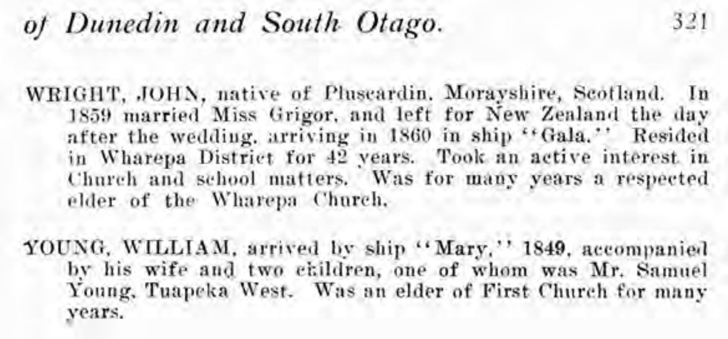## *of Dunedin and South Otago.* 321

WRIGHT, JOHN, native of Pluseardin. Morayshire, Scotland. In 1859 married Miss Grigor, and left for New Zealand the day after the wedding. arriving in 1860 in ship "Gala." Resided in Wharepa District for 42 years. Took an active interest in Church and school matters. Was for many years a respected elder of the Wharepa Church.

YOUNG, WILLIAM, arrived by ship "Mary," 1849, accompanied by his wife and two ckildren, one of whom was Mr. Samuel Young, Tuapeka West. Was an elder of First Church for many years.